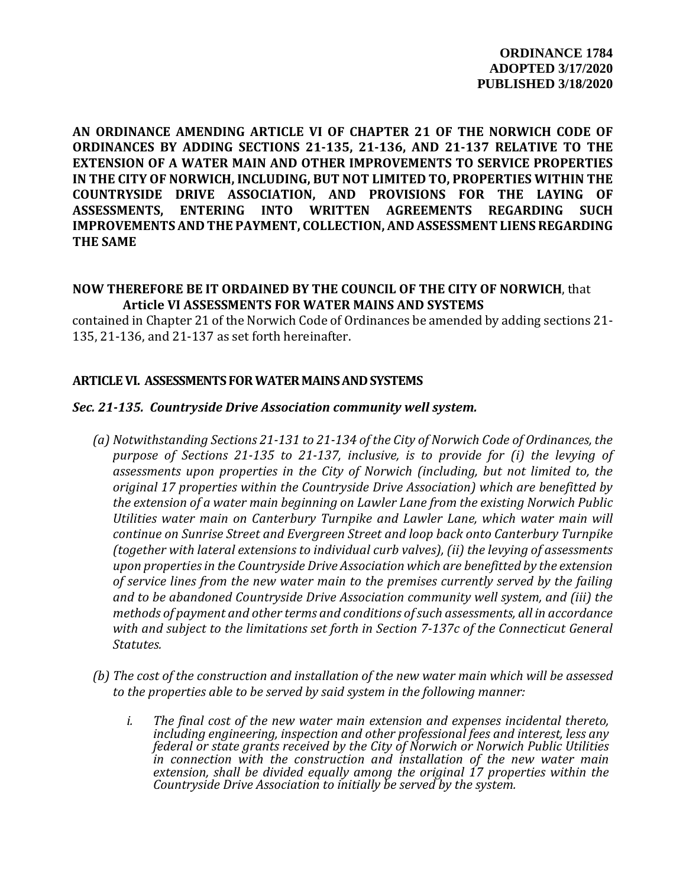**AN ORDINANCE AMENDING ARTICLE VI OF CHAPTER 21 OF THE NORWICH CODE OF ORDINANCES BY ADDING SECTIONS 21-135, 21-136, AND 21-137 RELATIVE TO THE EXTENSION OF A WATER MAIN AND OTHER IMPROVEMENTS TO SERVICE PROPERTIES IN THE CITY OF NORWICH, INCLUDING, BUT NOT LIMITED TO, PROPERTIES WITHIN THE COUNTRYSIDE DRIVE ASSOCIATION, AND PROVISIONS FOR THE LAYING OF ASSESSMENTS, ENTERING INTO WRITTEN AGREEMENTS REGARDING SUCH IMPROVEMENTS AND THE PAYMENT, COLLECTION, AND ASSESSMENT LIENS REGARDING THE SAME**

# **NOW THEREFORE BE IT ORDAINED BY THE COUNCIL OF THE CITY OF NORWICH**, that **Article VI ASSESSMENTS FOR WATER MAINS AND SYSTEMS**

contained in Chapter 21 of the Norwich Code of Ordinances be amended by adding sections 21- 135, 21-136, and 21-137 as set forth hereinafter.

## **ARTICLE VI. ASSESSMENTS FOR WATER MAINS AND SYSTEMS**

## *Sec. 21-135. Countryside Drive Association community well system.*

- *(a) Notwithstanding Sections 21-131 to 21-134 of the City of Norwich Code of Ordinances, the purpose of Sections 21-135 to 21-137, inclusive, is to provide for (i) the levying of assessments upon properties in the City of Norwich (including, but not limited to, the original 17 properties within the Countryside Drive Association) which are benefitted by the extension of a water main beginning on Lawler Lane from the existing Norwich Public Utilities water main on Canterbury Turnpike and Lawler Lane, which water main will continue on Sunrise Street and Evergreen Street and loop back onto Canterbury Turnpike (together with lateral extensions to individual curb valves), (ii) the levying of assessments upon properties in the Countryside Drive Association which are benefitted by the extension of service lines from the new water main to the premises currently served by the failing and to be abandoned Countryside Drive Association community well system, and (iii) the methods of payment and other terms and conditions of such assessments, all in accordance with and subject to the limitations set forth in Section 7-137c of the Connecticut General Statutes.*
- *(b) The cost of the construction and installation of the new water main which will be assessed to the properties able to be served by said system in the following manner:*
	- *i. The final cost of the new water main extension and expenses incidental thereto, including engineering, inspection and other professional fees and interest, less any federal or state grants received by the City of Norwich or Norwich Public Utilities in connection with the construction and installation of the new water main extension, shall be divided equally among the original 17 properties within the Countryside Drive Association to initially be served by the system.*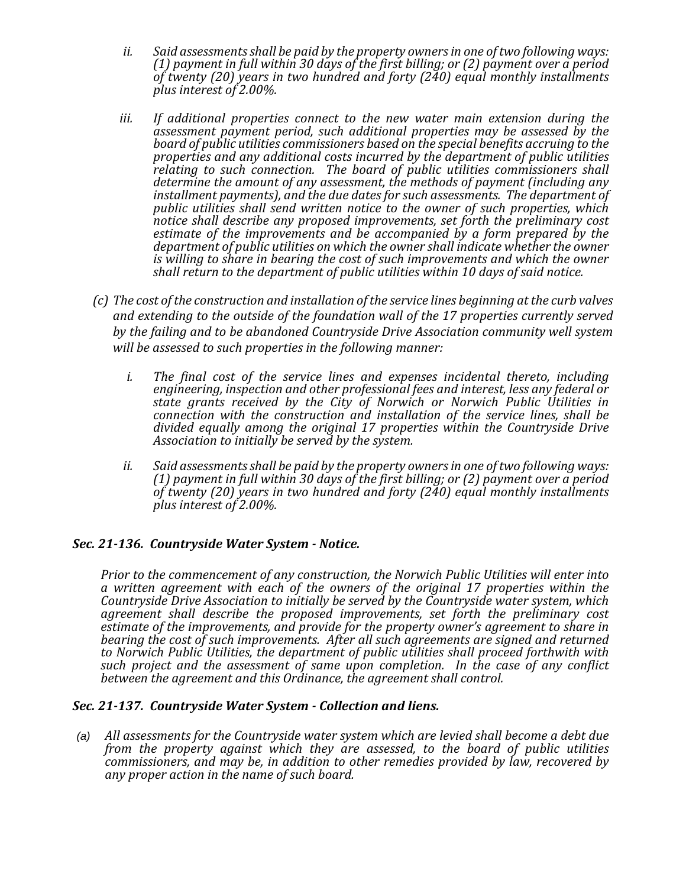- *ii. Said assessments shall be paid by the property owners in one of two following ways: (1) payment in full within 30 days of the first billing; or (2) payment over a period of twenty (20) years in two hundred and forty (240) equal monthly installments plus interest of 2.00%.*
- *iii. If additional properties connect to the new water main extension during the assessment payment period, such additional properties may be assessed by the board of public utilities commissioners based on the special benefits accruing to the properties and any additional costs incurred by the department of public utilities relating to such connection. The board of public utilities commissioners shall determine the amount of any assessment, the methods of payment (including any installment payments), and the due dates for such assessments. The department of public utilities shall send written notice to the owner of such properties, which notice shall describe any proposed improvements, set forth the preliminary cost estimate of the improvements and be accompanied by a form prepared by the department of public utilities on which the owner shall indicate whether the owner is willing to share in bearing the cost of such improvements and which the owner shall return to the department of public utilities within 10 days of said notice.*
- *(c) The cost of the construction and installation of the service lines beginning at the curb valves and extending to the outside of the foundation wall of the 17 properties currently served by the failing and to be abandoned Countryside Drive Association community well system will be assessed to such properties in the following manner:*
	- *i. The final cost of the service lines and expenses incidental thereto, including engineering, inspection and other professional fees and interest, less any federal or state grants received by the City of Norwich or Norwich Public Utilities in connection with the construction and installation of the service lines, shall be divided equally among the original 17 properties within the Countryside Drive Association to initially be served by the system.*
	- *ii. Said assessments shall be paid by the property owners in one of two following ways: (1) payment in full within 30 days of the first billing; or (2) payment over a period of twenty (20) years in two hundred and forty (240) equal monthly installments plus interest of 2.00%.*

## *Sec. 21-136. Countryside Water System - Notice.*

*Prior to the commencement of any construction, the Norwich Public Utilities will enter into a written agreement with each of the owners of the original 17 properties within the Countryside Drive Association to initially be served by the Countryside water system, which agreement shall describe the proposed improvements, set forth the preliminary cost estimate of the improvements, and provide for the property owner's agreement to share in*  bearing the cost of such improvements. After all such agreements are signed and returned *to Norwich Public Utilities, the department of public utilities shall proceed forthwith with such project and the assessment of same upon completion. In the case of any conflict between the agreement and this Ordinance, the agreement shall control.*

## *Sec. 21-137. Countryside Water System - Collection and liens.*

*(a) All assessments for the Countryside water system which are levied shall become a debt due from the property against which they are assessed, to the board of public utilities commissioners, and may be, in addition to other remedies provided by law, recovered by any proper action in the name of such board.*